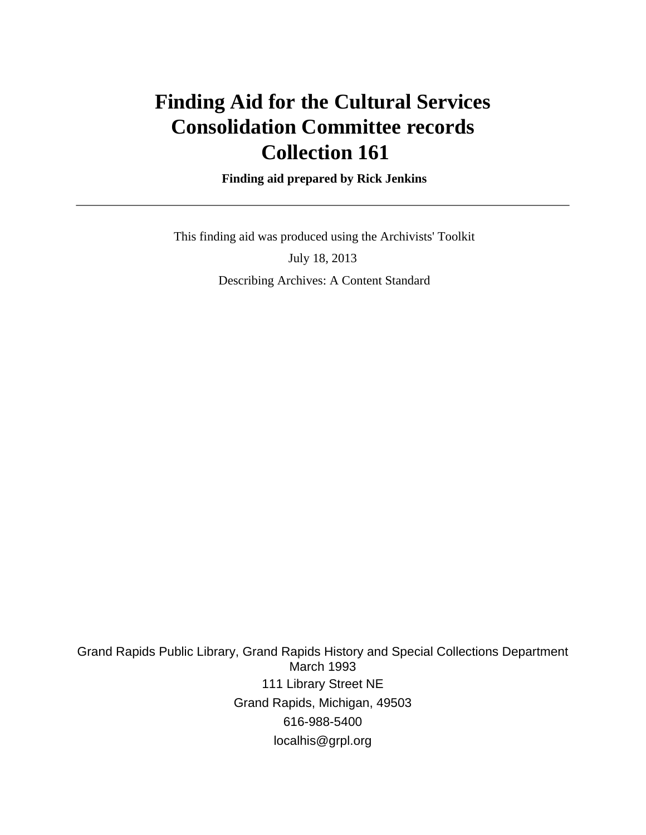# **Finding Aid for the Cultural Services Consolidation Committee records Collection 161**

 **Finding aid prepared by Rick Jenkins**

 This finding aid was produced using the Archivists' Toolkit July 18, 2013 Describing Archives: A Content Standard

Grand Rapids Public Library, Grand Rapids History and Special Collections Department March 1993 111 Library Street NE Grand Rapids, Michigan, 49503 616-988-5400 localhis@grpl.org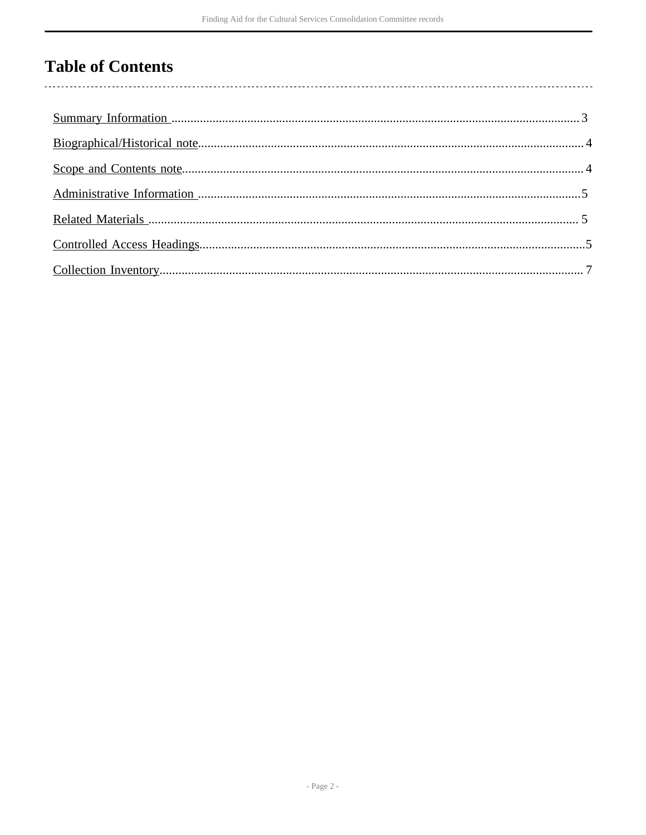## **Table of Contents**

l,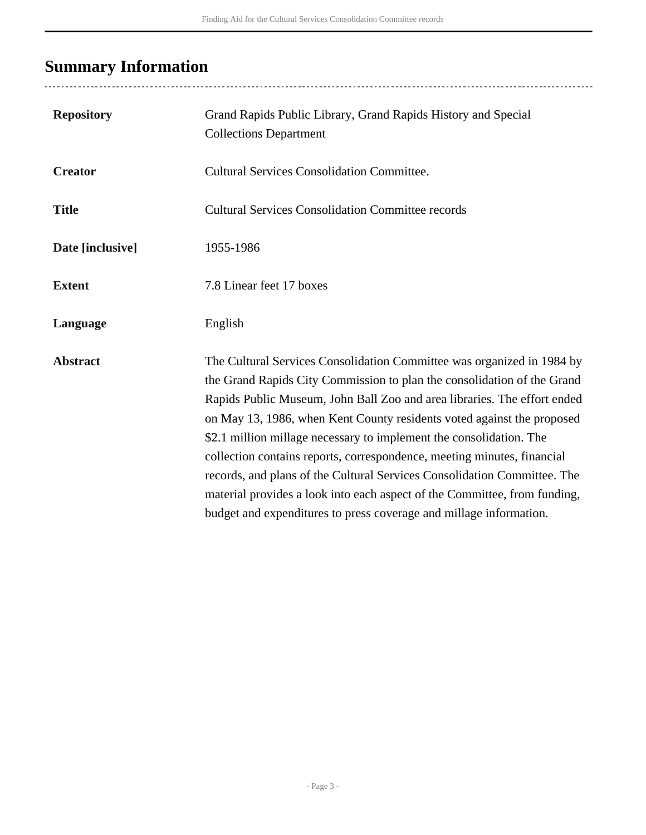# <span id="page-2-0"></span>**Summary Information**

| <b>Repository</b> | Grand Rapids Public Library, Grand Rapids History and Special<br><b>Collections Department</b>                                                                                                                                                                                                                                                                                                                                                                                                                                                                                                                                                                                           |
|-------------------|------------------------------------------------------------------------------------------------------------------------------------------------------------------------------------------------------------------------------------------------------------------------------------------------------------------------------------------------------------------------------------------------------------------------------------------------------------------------------------------------------------------------------------------------------------------------------------------------------------------------------------------------------------------------------------------|
| <b>Creator</b>    | <b>Cultural Services Consolidation Committee.</b>                                                                                                                                                                                                                                                                                                                                                                                                                                                                                                                                                                                                                                        |
| <b>Title</b>      | <b>Cultural Services Consolidation Committee records</b>                                                                                                                                                                                                                                                                                                                                                                                                                                                                                                                                                                                                                                 |
| Date [inclusive]  | 1955-1986                                                                                                                                                                                                                                                                                                                                                                                                                                                                                                                                                                                                                                                                                |
| <b>Extent</b>     | 7.8 Linear feet 17 boxes                                                                                                                                                                                                                                                                                                                                                                                                                                                                                                                                                                                                                                                                 |
| Language          | English                                                                                                                                                                                                                                                                                                                                                                                                                                                                                                                                                                                                                                                                                  |
| <b>Abstract</b>   | The Cultural Services Consolidation Committee was organized in 1984 by<br>the Grand Rapids City Commission to plan the consolidation of the Grand<br>Rapids Public Museum, John Ball Zoo and area libraries. The effort ended<br>on May 13, 1986, when Kent County residents voted against the proposed<br>\$2.1 million millage necessary to implement the consolidation. The<br>collection contains reports, correspondence, meeting minutes, financial<br>records, and plans of the Cultural Services Consolidation Committee. The<br>material provides a look into each aspect of the Committee, from funding,<br>budget and expenditures to press coverage and millage information. |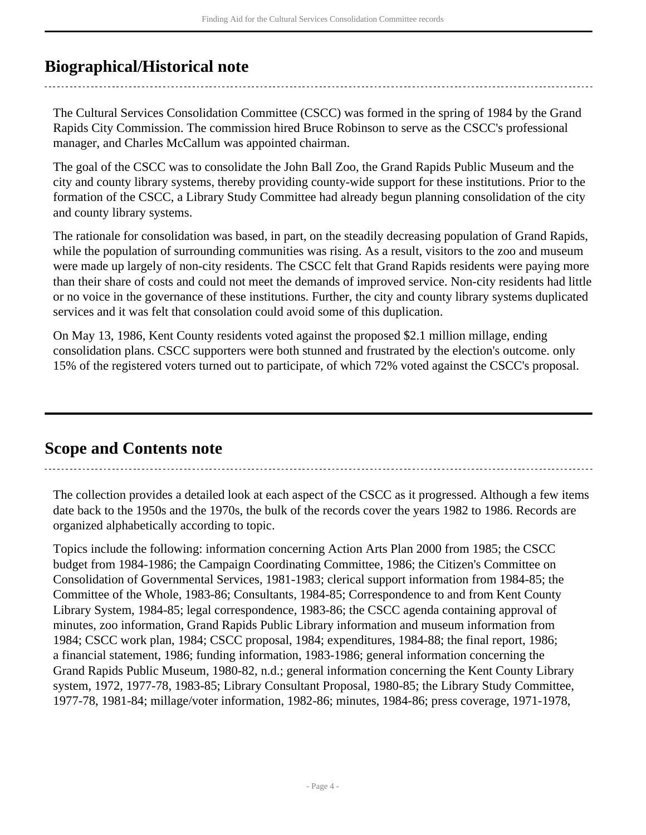### <span id="page-3-0"></span>**Biographical/Historical note**

The Cultural Services Consolidation Committee (CSCC) was formed in the spring of 1984 by the Grand Rapids City Commission. The commission hired Bruce Robinson to serve as the CSCC's professional manager, and Charles McCallum was appointed chairman.

The goal of the CSCC was to consolidate the John Ball Zoo, the Grand Rapids Public Museum and the city and county library systems, thereby providing county-wide support for these institutions. Prior to the formation of the CSCC, a Library Study Committee had already begun planning consolidation of the city and county library systems.

The rationale for consolidation was based, in part, on the steadily decreasing population of Grand Rapids, while the population of surrounding communities was rising. As a result, visitors to the zoo and museum were made up largely of non-city residents. The CSCC felt that Grand Rapids residents were paying more than their share of costs and could not meet the demands of improved service. Non-city residents had little or no voice in the governance of these institutions. Further, the city and county library systems duplicated services and it was felt that consolation could avoid some of this duplication.

On May 13, 1986, Kent County residents voted against the proposed \$2.1 million millage, ending consolidation plans. CSCC supporters were both stunned and frustrated by the election's outcome. only 15% of the registered voters turned out to participate, of which 72% voted against the CSCC's proposal.

### <span id="page-3-1"></span>**Scope and Contents note**

The collection provides a detailed look at each aspect of the CSCC as it progressed. Although a few items date back to the 1950s and the 1970s, the bulk of the records cover the years 1982 to 1986. Records are organized alphabetically according to topic.

Topics include the following: information concerning Action Arts Plan 2000 from 1985; the CSCC budget from 1984-1986; the Campaign Coordinating Committee, 1986; the Citizen's Committee on Consolidation of Governmental Services, 1981-1983; clerical support information from 1984-85; the Committee of the Whole, 1983-86; Consultants, 1984-85; Correspondence to and from Kent County Library System, 1984-85; legal correspondence, 1983-86; the CSCC agenda containing approval of minutes, zoo information, Grand Rapids Public Library information and museum information from 1984; CSCC work plan, 1984; CSCC proposal, 1984; expenditures, 1984-88; the final report, 1986; a financial statement, 1986; funding information, 1983-1986; general information concerning the Grand Rapids Public Museum, 1980-82, n.d.; general information concerning the Kent County Library system, 1972, 1977-78, 1983-85; Library Consultant Proposal, 1980-85; the Library Study Committee, 1977-78, 1981-84; millage/voter information, 1982-86; minutes, 1984-86; press coverage, 1971-1978,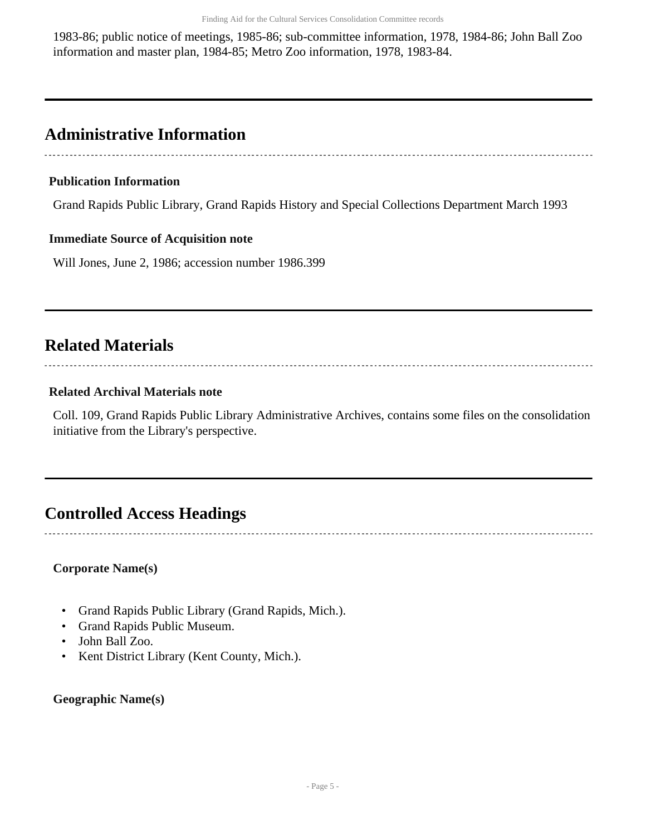1983-86; public notice of meetings, 1985-86; sub-committee information, 1978, 1984-86; John Ball Zoo information and master plan, 1984-85; Metro Zoo information, 1978, 1983-84.

### <span id="page-4-0"></span>**Administrative Information**

### **Publication Information**

Grand Rapids Public Library, Grand Rapids History and Special Collections Department March 1993

### **Immediate Source of Acquisition note**

Will Jones, June 2, 1986; accession number 1986.399

## <span id="page-4-1"></span>**Related Materials**

## 

### **Related Archival Materials note**

Coll. 109, Grand Rapids Public Library Administrative Archives, contains some files on the consolidation initiative from the Library's perspective.

### <span id="page-4-2"></span>**Controlled Access Headings**

### **Corporate Name(s)**

- Grand Rapids Public Library (Grand Rapids, Mich.).
- Grand Rapids Public Museum.
- John Ball Zoo.
- Kent District Library (Kent County, Mich.).

#### **Geographic Name(s)**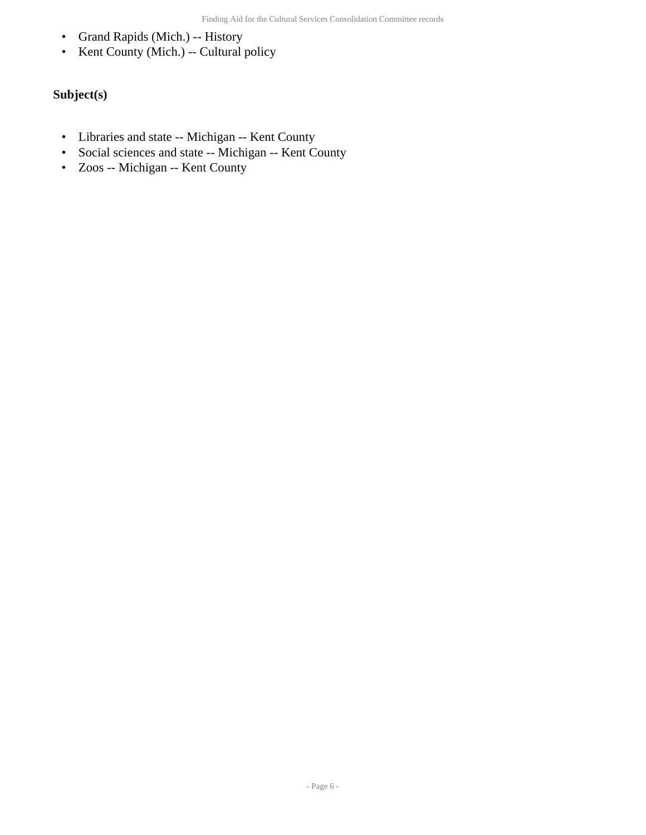- Grand Rapids (Mich.) -- History
- Kent County (Mich.) -- Cultural policy

### **Subject(s)**

- Libraries and state -- Michigan -- Kent County
- Social sciences and state -- Michigan -- Kent County
- Zoos -- Michigan -- Kent County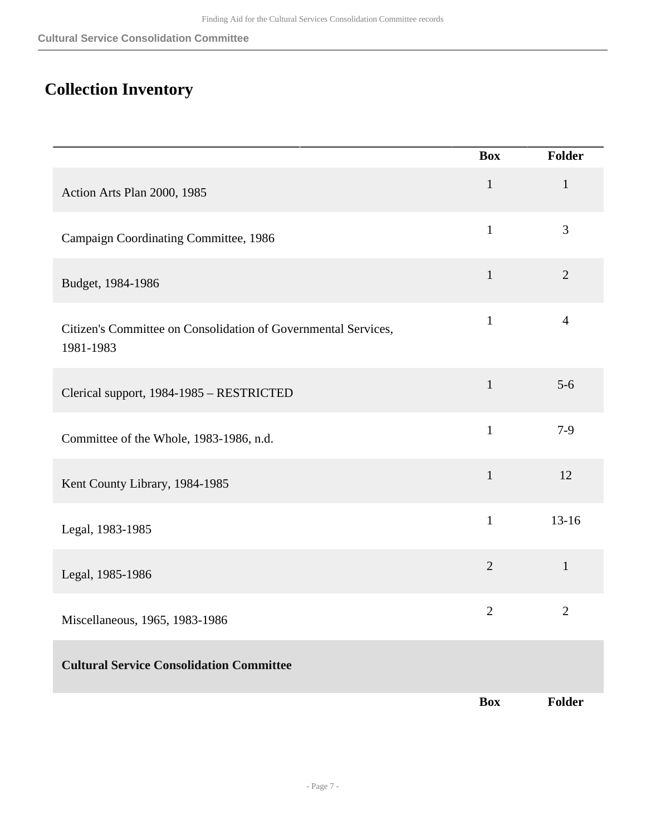## <span id="page-6-0"></span>**Collection Inventory**

|                                                                             | <b>Box</b>     | Folder         |
|-----------------------------------------------------------------------------|----------------|----------------|
| Action Arts Plan 2000, 1985                                                 | $\mathbf 1$    | $\mathbf{1}$   |
| Campaign Coordinating Committee, 1986                                       | $\mathbf{1}$   | $\overline{3}$ |
| Budget, 1984-1986                                                           | $\mathbf{1}$   | $\overline{2}$ |
| Citizen's Committee on Consolidation of Governmental Services,<br>1981-1983 | $\mathbf{1}$   | $\overline{4}$ |
| Clerical support, 1984-1985 - RESTRICTED                                    | $\mathbf{1}$   | $5-6$          |
| Committee of the Whole, 1983-1986, n.d.                                     | $\mathbf{1}$   | $7-9$          |
| Kent County Library, 1984-1985                                              | $\mathbf{1}$   | 12             |
| Legal, 1983-1985                                                            | $\mathbf{1}$   | $13-16$        |
| Legal, 1985-1986                                                            | $\overline{2}$ | $\mathbf{1}$   |
| Miscellaneous, 1965, 1983-1986                                              | $\overline{2}$ | $\mathbf{2}$   |
| <b>Cultural Service Consolidation Committee</b>                             |                |                |
|                                                                             | <b>Box</b>     | Folder         |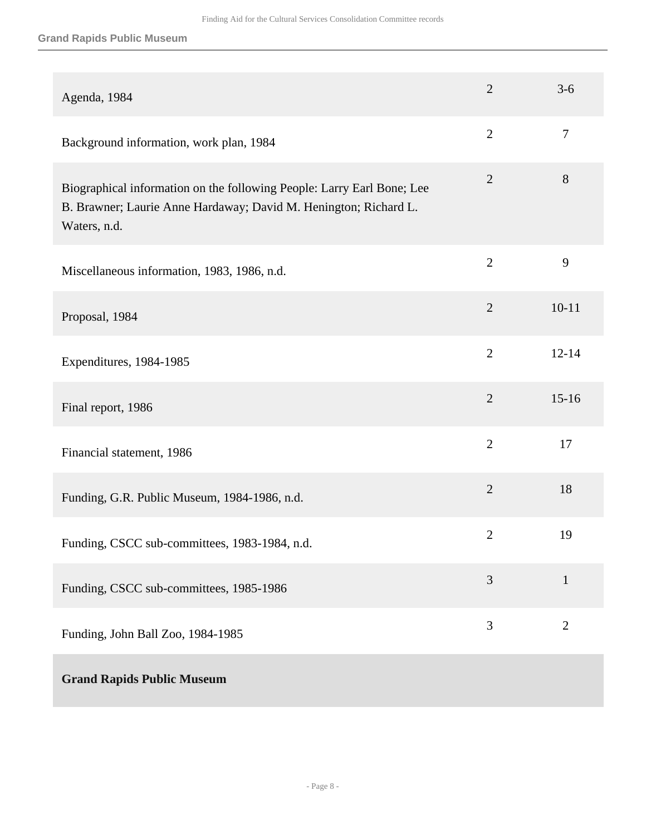### **Grand Rapids Public Museum**

| Agenda, 1984                                                                                                                                               | $\overline{2}$ | $3 - 6$        |
|------------------------------------------------------------------------------------------------------------------------------------------------------------|----------------|----------------|
| Background information, work plan, 1984                                                                                                                    | $\overline{2}$ | $\tau$         |
| Biographical information on the following People: Larry Earl Bone; Lee<br>B. Brawner; Laurie Anne Hardaway; David M. Henington; Richard L.<br>Waters, n.d. | $\overline{2}$ | 8              |
| Miscellaneous information, 1983, 1986, n.d.                                                                                                                | $\overline{2}$ | 9              |
| Proposal, 1984                                                                                                                                             | $\overline{2}$ | $10 - 11$      |
| Expenditures, 1984-1985                                                                                                                                    | $\overline{2}$ | $12 - 14$      |
| Final report, 1986                                                                                                                                         | $\overline{2}$ | $15 - 16$      |
| Financial statement, 1986                                                                                                                                  | $\overline{2}$ | 17             |
| Funding, G.R. Public Museum, 1984-1986, n.d.                                                                                                               | $\overline{2}$ | 18             |
| Funding, CSCC sub-committees, 1983-1984, n.d.                                                                                                              | $\overline{2}$ | 19             |
| Funding, CSCC sub-committees, 1985-1986                                                                                                                    | 3              | $\mathbf{1}$   |
| Funding, John Ball Zoo, 1984-1985                                                                                                                          | 3              | $\overline{2}$ |
| <b>Grand Rapids Public Museum</b>                                                                                                                          |                |                |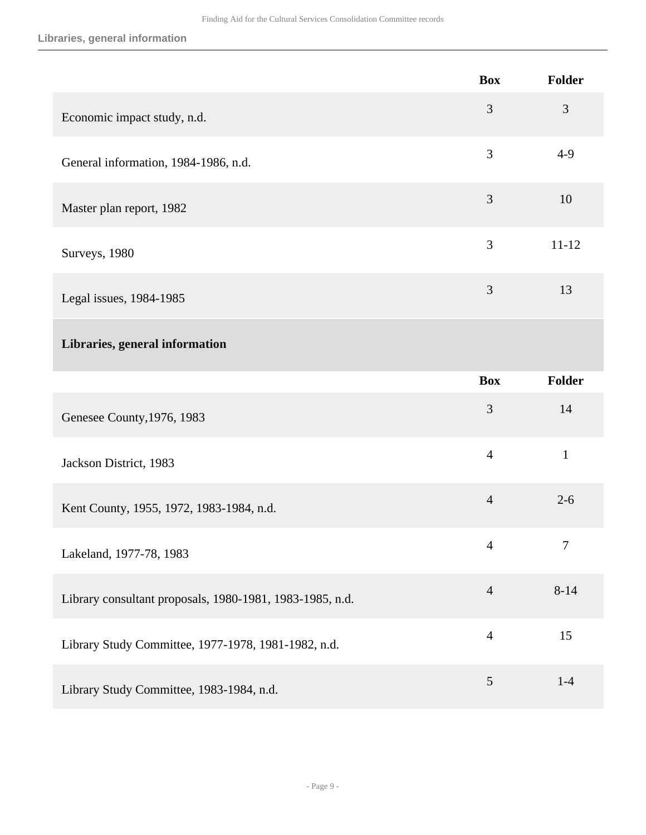**Libraries, general information**

|                                                          | <b>Box</b>     | Folder       |
|----------------------------------------------------------|----------------|--------------|
| Economic impact study, n.d.                              | 3              | 3            |
| General information, 1984-1986, n.d.                     | 3              | $4-9$        |
| Master plan report, 1982                                 | 3              | 10           |
| Surveys, 1980                                            | 3              | $11 - 12$    |
| Legal issues, 1984-1985                                  | 3              | 13           |
| Libraries, general information                           |                |              |
|                                                          | <b>Box</b>     | Folder       |
| Genesee County, 1976, 1983                               | 3              | 14           |
| Jackson District, 1983                                   | $\overline{4}$ | $\mathbf{1}$ |
| Kent County, 1955, 1972, 1983-1984, n.d.                 | $\overline{4}$ | $2 - 6$      |
| Lakeland, 1977-78, 1983                                  | 4              | 7            |
| Library consultant proposals, 1980-1981, 1983-1985, n.d. | $\overline{4}$ | $8 - 14$     |
| Library Study Committee, 1977-1978, 1981-1982, n.d.      | $\overline{4}$ | 15           |
| Library Study Committee, 1983-1984, n.d.                 | 5              | $1-4$        |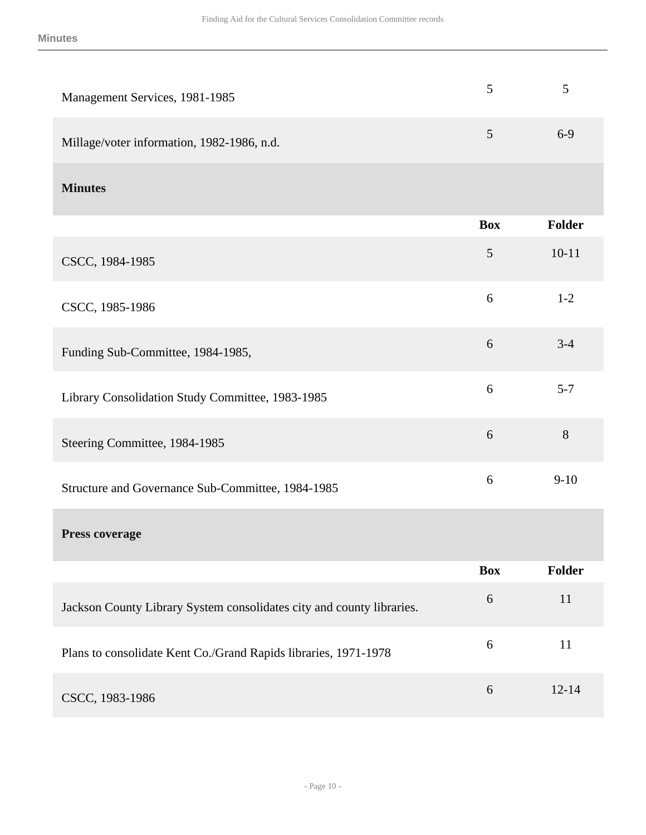| Management Services, 1981-1985                                        | 5              | 5             |
|-----------------------------------------------------------------------|----------------|---------------|
| Millage/voter information, 1982-1986, n.d.                            | 5              | $6-9$         |
| <b>Minutes</b>                                                        |                |               |
|                                                                       | <b>Box</b>     | <b>Folder</b> |
| CSCC, 1984-1985                                                       | $\mathfrak{S}$ | $10 - 11$     |
| CSCC, 1985-1986                                                       | 6              | $1 - 2$       |
| Funding Sub-Committee, 1984-1985,                                     | 6              | $3 - 4$       |
| Library Consolidation Study Committee, 1983-1985                      | 6              | $5 - 7$       |
| Steering Committee, 1984-1985                                         | 6              | 8             |
| Structure and Governance Sub-Committee, 1984-1985                     | 6              | $9-10$        |
| <b>Press coverage</b>                                                 |                |               |
|                                                                       | <b>Box</b>     | Folder        |
| Jackson County Library System consolidates city and county libraries. | 6              | 11            |
| Plans to consolidate Kent Co./Grand Rapids libraries, 1971-1978       | 6              | 11            |
| CSCC, 1983-1986                                                       | 6              | $12 - 14$     |